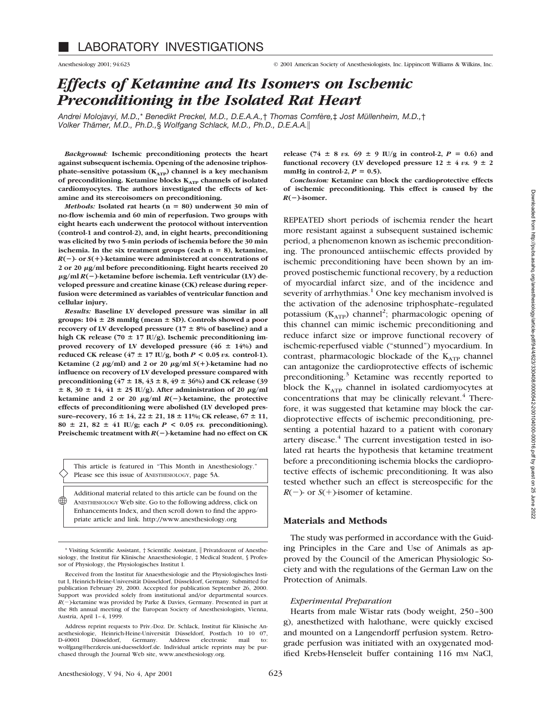Anesthesiology 2001; 94:623 © 2001 American Society of Anesthesiologists, Inc. Lippincott Williams & Wilkins, Inc.

# *Effects of Ketamine and Its Isomers on Ischemic Preconditioning in the Isolated Rat Heart*

*Andrei Molojavyi, M.D.,*\* *Benedikt Preckel, M.D., D.E.A.A.,*† *Thomas Comfère,*‡ *Jost Müllenheim, M.D.,*† *Volker Thämer, M.D., Ph.D.,*§ *Wolfgang Schlack, M.D., Ph.D., D.E.A.A.*i

*Background:* **Ischemic preconditioning protects the heart against subsequent ischemia. Opening of the adenosine triphos**phate–sensitive potassium (K<sub>ATP</sub>) channel is a key mechanism **of preconditioning. Ketamine blocks KATP channels of isolated cardiomyocytes. The authors investigated the effects of ketamine and its stereoisomers on preconditioning.**

*Methods:* Isolated rat hearts (n = 80) underwent 30 min of **no-flow ischemia and 60 min of reperfusion. Two groups with eight hearts each underwent the protocol without intervention (control-1 and control-2), and, in eight hearts, preconditioning was elicited by two 5-min periods of ischemia before the 30 min ischemia.** In the six treatment groups (each  $n = 8$ ), ketamine,  $R(-)$ - or  $S(+)$ -ketamine were administered at concentrations of **2 or 20** <sup>m</sup>**g/ml before preconditioning. Eight hearts received 20** <sup>m</sup>**g/ml** *R***(**2**)-ketamine before ischemia. Left ventricular (LV) developed pressure and creatine kinase (CK) release during reperfusion were determined as variables of ventricular function and cellular injury.**

*Results:* **Baseline LV developed pressure was similar in all groups:**  $104 \pm 28$  mmHg (mean  $\pm$  SD). Controls showed a poor **recovery of LV developed pressure (17**  $\pm$  **8% of baseline) and a** high CK release (70  $\pm$  17 IU/g). Ischemic preconditioning improved recovery of LV developed pressure  $(46 \pm 14\%)$  and reduced CK release  $(47 \pm 17 \text{ IU/g}, \text{both } P < 0.05 \text{ vs. control-1}).$ **Ketamine** (2  $\mu$ **g/ml)** and 2 or 20  $\mu$ **g/ml** *S*(+)-ketamine had no **influence on recovery of LV developed pressure compared with preconditioning**  $(47 \pm 18, 43 \pm 8, 49 \pm 36%)$  and CK release (39  $\pm$  8, 30  $\pm$  14, 41  $\pm$  25 IU/g). After administration of 20  $\mu$ g/ml **ketamine and 2 or 20**  $\mu$ **g/ml**  $R(-)$ -ketamine, the protective **effects of preconditioning were abolished (LV developed pressure–recovery,**  $16 \pm 14$ ,  $22 \pm 21$ ,  $18 \pm 11$ %; CK release,  $67 \pm 11$ ,  $80 \pm 21$ ,  $82 \pm 41$  IU/g; each  $P < 0.05$  *vs.* preconditioning). **Preischemic treatment with** *R***(**2**)-ketamine had no effect on CK**

This article is featured in "This Month in Anesthesiology." Please see this issue of ANESTHESIOLOGY, page 5A.

Additional material related to this article can be found on the ANESTHESIOLOGY Web site. Go to the following address, click on Enhancements Index, and then scroll down to find the appropriate article and link. http://www.anesthesiology.org  $\circledast$ 

**release** (74  $\pm$  8 *vs.* 69  $\pm$  9 IU/g in control-2, *P* = 0.6) and functional recovery (LV developed pressure  $12 \pm 4$  *vs.*  $9 \pm 2$ mmHg in control-2,  $P = 0.5$ ).

*Conclusion:* **Ketamine can block the cardioprotective effects of ischemic preconditioning. This effect is caused by the**  $R(-)$ -isomer.

REPEATED short periods of ischemia render the heart more resistant against a subsequent sustained ischemic period, a phenomenon known as ischemic preconditioning. The pronounced antiischemic effects provided by ischemic preconditioning have been shown by an improved postischemic functional recovery, by a reduction of myocardial infarct size, and of the incidence and severity of arrhythmias.<sup>1</sup> One key mechanism involved is the activation of the adenosine triphosphate–regulated potassium  $(K_{ATP})$  channel<sup>2</sup>; pharmacologic opening of this channel can mimic ischemic preconditioning and reduce infarct size or improve functional recovery of ischemic-reperfused viable ("stunned") myocardium. In contrast, pharmacologic blockade of the  $K_{ATP}$  channel can antagonize the cardioprotective effects of ischemic preconditioning. $3$  Ketamine was recently reported to block the  $K_{ATP}$  channel in isolated cardiomyocytes at concentrations that may be clinically relevant. $4$  Therefore, it was suggested that ketamine may block the cardioprotective effects of ischemic preconditioning, presenting a potential hazard to a patient with coronary artery disease.<sup>4</sup> The current investigation tested in isolated rat hearts the hypothesis that ketamine treatment before a preconditioning ischemia blocks the cardioprotective effects of ischemic preconditioning. It was also tested whether such an effect is stereospecific for the  $R(-)$ - or *S*(+)-isomer of ketamine.

## **Materials and Methods**

The study was performed in accordance with the Guiding Principles in the Care and Use of Animals as approved by the Council of the American Physiologic Society and with the regulations of the German Law on the Protection of Animals.

## *Experimental Preparation*

Hearts from male Wistar rats (body weight, 250–300 g), anesthetized with halothane, were quickly excised and mounted on a Langendorff perfusion system. Retrograde perfusion was initiated with an oxygenated modified Krebs-Henseleit buffer containing 116 mm NaCl,

<sup>\*</sup> Visiting Scientific Assistant, † Scientific Assistant, i Privatdozent of Anesthesiology, the Institut für Klinische Anaesthesiologie, ‡ Medical Student, § Professor of Physiology, the Physiologisches Institut I.

Received from the Institut für Anaesthesiologie and the Physiologisches Institut I, Heinrich-Heine-Universität Düsseldorf, Düsseldorf, Germany. Submitted for publication February 29, 2000. Accepted for publication September 26, 2000. Support was provided solely from institutional and/or departmental sources. *R*(-)-ketamine was provided by Parke & Davies, Germany. Presented in part at the 8th annual meeting of the European Society of Anesthesiologists, Vienna, Austria, April 1–4, 1999.

Address reprint requests to Priv.-Doz. Dr. Schlack, Institut für Klinische Anaesthesiologie, Heinrich-Heine-Universität Düsseldorf, Postfach 10 10 07, Düsseldorf, Germany. wolfgang@herzkreis.uni-duesseldorf.de. Individual article reprints may be purchased through the Journal Web site, www.anesthesiology.org.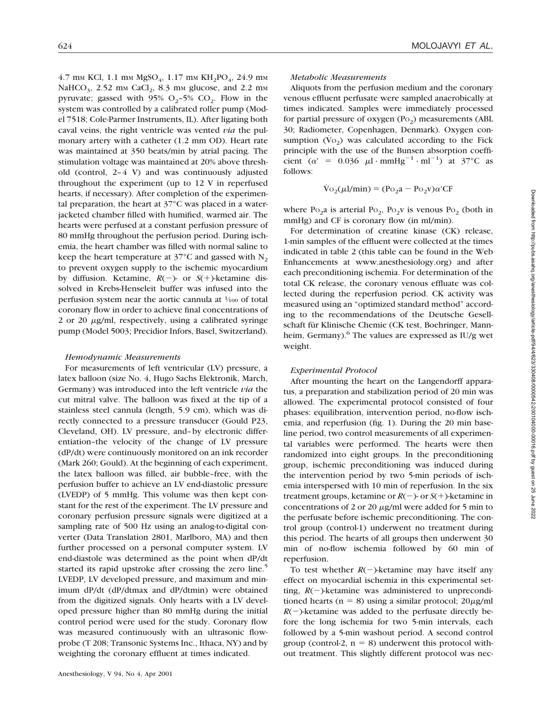4.7 mm KCl, 1.1 mm  $MgSO_4$ , 1.17 mm KH<sub>2</sub>PO<sub>4</sub>, 24.9 mm NaHCO<sub>3</sub>, 2.52 mm CaCl<sub>2</sub>, 8.3 mm glucose, and 2.2 mm pyruvate; gassed with 95%  $O_2$ -5%  $CO_2$ . Flow in the system was controlled by a calibrated roller pump (Model 7518; Cole-Parmer Instruments, IL). After ligating both caval veins, the right ventricle was vented *via* the pulmonary artery with a catheter (1.2 mm OD). Heart rate was maintained at 350 beats/min by atrial pacing. The stimulation voltage was maintained at 20% above threshold (control, 2–4 V) and was continuously adjusted throughout the experiment (up to 12 V in reperfused hearts, if necessary). After completion of the experimental preparation, the heart at 37°C was placed in a waterjacketed chamber filled with humified, warmed air. The hearts were perfused at a constant perfusion pressure of 80 mmHg throughout the perfusion period. During ischemia, the heart chamber was filled with normal saline to keep the heart temperature at  $37^{\circ}$ C and gassed with N<sub>2</sub> to prevent oxygen supply to the ischemic myocardium by diffusion. Ketamine,  $R(-)$ - or  $S(+)$ -ketamine dissolved in Krebs-Henseleit buffer was infused into the perfusion system near the aortic cannula at  $\frac{1}{100}$  of total coronary flow in order to achieve final concentrations of 2 or 20  $\mu$ g/ml, respectively, using a calibrated syringe pump (Model 5003; Precidior Infors, Basel, Switzerland).

#### *Hemodynamic Measurements*

For measurements of left ventricular (LV) pressure, a latex balloon (size No. 4, Hugo Sachs Elektronik, March, Germany) was introduced into the left ventricle *via* the cut mitral valve. The balloon was fixed at the tip of a stainless steel cannula (length, 5.9 cm), which was directly connected to a pressure transducer (Gould P23, Cleveland, OH). LV pressure, and–by electronic differentiation–the velocity of the change of LV pressure (dP/dt) were continuously monitored on an ink recorder (Mark 260; Gould). At the beginning of each experiment, the latex balloon was filled, air bubble–free, with the perfusion buffer to achieve an LV end-diastolic pressure (LVEDP) of 5 mmHg. This volume was then kept constant for the rest of the experiment. The LV pressure and coronary perfusion pressure signals were digitized at a sampling rate of 500 Hz using an analog-to-digital converter (Data Translation 2801, Marlboro, MA) and then further processed on a personal computer system. LV end-diastole was determined as the point when dP/dt started its rapid upstroke after crossing the zero line.<sup>5</sup> LVEDP, LV developed pressure, and maximum and minimum dP/dt (dP/dtmax and dP/dtmin) were obtained from the digitized signals. Only hearts with a LV developed pressure higher than 80 mmHg during the initial control period were used for the study. Coronary flow was measured continuously with an ultrasonic flowprobe (T 208; Transonic Systems Inc., Ithaca, NY) and by weighting the coronary effluent at times indicated.

## 624 MOLOJAVYI *ET AL*.

#### *Metabolic Measurements*

Aliquots from the perfusion medium and the coronary venous effluent perfusate were sampled anaerobically at times indicated. Samples were immediately processed for partial pressure of oxygen  $(P<sub>O2</sub>)$  measurements (ABL 30; Radiometer, Copenhagen, Denmark). Oxygen consumption  $(\dot{V}o_2)$  was calculated according to the Fick principle with the use of the Bunsen absorption coefficient  $(\alpha' = 0.036 \mu l \cdot mmHg^{-1} \cdot ml^{-1})$  at 37°C as follows:

$$
\dot{V}o_2(\mu l/min) = (Po_2a - Po_2v)\alpha'CF
$$

where  $Po_{2}a$  is arterial  $Po_{2}$ ,  $Po_{2}v$  is venous  $Po_{2}$  (both in mmHg) and CF is coronary flow (in ml/min).

For determination of creatine kinase (CK) release, 1-min samples of the effluent were collected at the times indicated in table 2 (this table can be found in the Web Enhancements at www.anesthesiology.org) and after each preconditioning ischemia. For determination of the total CK release, the coronary venous effluate was collected during the reperfusion period. CK activity was measured using an "optimized standard method" according to the recommendations of the Deutsche Gesellschaft für Klinische Chemie (CK test, Boehringer, Mannheim, Germany). $^{6}$  The values are expressed as IU/g wet weight.

#### *Experimental Protocol*

After mounting the heart on the Langendorff apparatus, a preparation and stabilization period of 20 min was allowed. The experimental protocol consisted of four phases: equilibration, intervention period, no-flow ischemia, and reperfusion (fig. 1). During the 20 min baseline period, two control measurements of all experimental variables were performed. The hearts were then randomized into eight groups. In the preconditioning group, ischemic preconditioning was induced during the intervention period by two 5-min periods of ischemia interspersed with 10 min of reperfusion. In the six treatment groups, ketamine or  $R(-)$ - or  $S(+)$ -ketamine in concentrations of 2 or 20  $\mu$ g/ml were added for 5 min to the perfusate before ischemic preconditioning. The control group (control-1) underwent no treatment during this period. The hearts of all groups then underwent 30 min of no-flow ischemia followed by 60 min of reperfusion.

To test whether  $R(-)$ -ketamine may have itself any effect on myocardial ischemia in this experimental setting,  $R(-)$ -ketamine was administered to unpreconditioned hearts (n = 8) using a similar protocol;  $20\mu$ g/ml  $R(-)$ -ketamine was added to the perfusate directly before the long ischemia for two 5-min intervals, each followed by a 5-min washout period. A second control group (control-2,  $n = 8$ ) underwent this protocol without treatment. This slightly different protocol was nec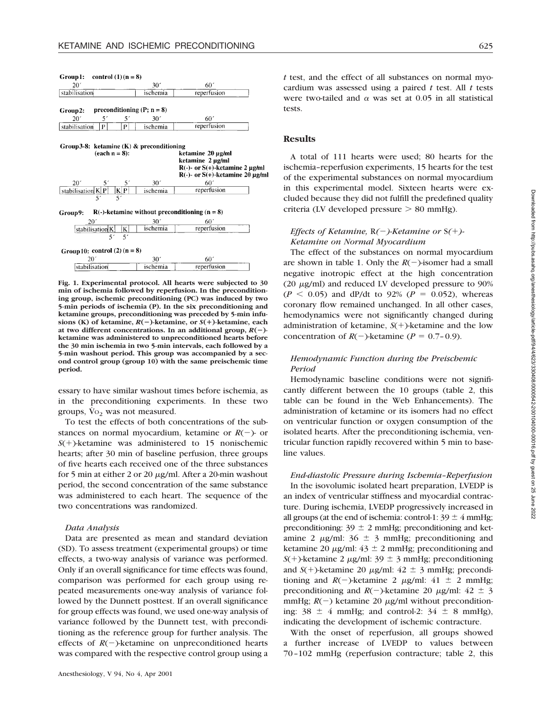Group1: control  $(1)(n = 8)$ 

| 20                                                                                | 30              | 60                                                                                                                                        |
|-----------------------------------------------------------------------------------|-----------------|-------------------------------------------------------------------------------------------------------------------------------------------|
| stabilisation                                                                     | ischemia        | reperfusion                                                                                                                               |
| preconditioning (P; $n = 8$ )<br>Group2:                                          |                 |                                                                                                                                           |
| 20'<br>51<br>51                                                                   | 30 <sup>7</sup> | 60'                                                                                                                                       |
| stabilisation<br>P<br>P                                                           | ischemia        | reperfusion                                                                                                                               |
| Group 3-8: ketamine $(K)$ & preconditioning<br>$(each n = 8):$<br>20 <sup>2</sup> | 30 <sup>7</sup> | ketamine 20 µg/ml<br>ketamine 2 µg/ml<br>$R(-)$ - or $S(+)$ -ketamine 2 µg/ml<br>$R(-)$ - or $S(+)$ -ketamine 20 µg/ml<br>60 <sup>′</sup> |
| stabilisation $K P $<br>$\frac{K P }{5}$                                          | ischemia        | reperfusion                                                                                                                               |
| Group9:                                                                           |                 | $R(-)$ -ketamine without preconditioning (n = 8)                                                                                          |
|                                                                                   |                 | 60 <sup>′</sup>                                                                                                                           |
| $20^{\circ}$                                                                      | 30 <sup>′</sup> |                                                                                                                                           |
| stabilisation K<br>K                                                              | ischemia        | reperfusion                                                                                                                               |
| 5 <sup>′</sup><br>5 <sup>′</sup><br>Group 10: control $(2)$ (n = 8)               |                 |                                                                                                                                           |
| 20'                                                                               | 30 <sup>7</sup> | 60 <sup>′</sup>                                                                                                                           |

**Fig. 1. Experimental protocol. All hearts were subjected to 30 min of ischemia followed by reperfusion. In the preconditioning group, ischemic preconditioning (PC) was induced by two 5-min periods of ischemia (P). In the six preconditioning and ketamine groups, preconditioning was preceded by 5-min infusions (K)** of ketamine,  $R(-)$ -ketamine, or  $S(+)$ -ketamine, each **at two different concentrations. In an additional group,** *R***(**2**) ketamine was administered to unpreconditioned hearts before the 30 min ischemia in two 5-min intervals, each followed by a 5-min washout period. This group was accompanied by a second control group (group 10) with the same preischemic time period.**

essary to have similar washout times before ischemia, as in the preconditioning experiments. In these two groups,  $\dot{V}o_2$  was not measured.

To test the effects of both concentrations of the substances on normal myocardium, ketamine or  $R(-)$ - or  $S(+)$ -ketamine was administered to 15 nonischemic hearts; after 30 min of baseline perfusion, three groups of five hearts each received one of the three substances for 5 min at either 2 or 20  $\mu$ g/ml. After a 20-min washout period, the second concentration of the same substance was administered to each heart. The sequence of the two concentrations was randomized.

#### *Data Analysis*

Data are presented as mean and standard deviation (SD). To assess treatment (experimental groups) or time effects, a two-way analysis of variance was performed. Only if an overall significance for time effects was found, comparison was performed for each group using repeated measurements one-way analysis of variance followed by the Dunnett posttest. If an overall significance for group effects was found, we used one-way analysis of variance followed by the Dunnett test, with preconditioning as the reference group for further analysis. The effects of  $R(-)$ -ketamine on unpreconditioned hearts was compared with the respective control group using a

*t* test, and the effect of all substances on normal myocardium was assessed using a paired *t* test. All *t* tests were two-tailed and  $\alpha$  was set at 0.05 in all statistical tests.

#### **Results**

A total of 111 hearts were used; 80 hearts for the ischemia–reperfusion experiments, 15 hearts for the test of the experimental substances on normal myocardium in this experimental model. Sixteen hearts were excluded because they did not fulfill the predefined quality criteria (LV developed pressure  $> 80$  mmHg).

## *Effects of Ketamine, R(-)-Ketamine or* S(+)-*Ketamine on Normal Myocardium*

The effect of the substances on normal myocardium are shown in table 1. Only the  $R(-)$ -isomer had a small negative inotropic effect at the high concentration (20  $\mu$ g/ml) and reduced LV developed pressure to 90%  $(P < 0.05)$  and dP/dt to 92%  $(P = 0.052)$ , whereas coronary flow remained unchanged. In all other cases, hemodynamics were not significantly changed during administration of ketamine,  $S(+)$ -ketamine and the low concentration of  $R(-)$ -ketamine ( $P = 0.7$ –0.9).

## *Hemodynamic Function during the Preischemic Period*

Hemodynamic baseline conditions were not significantly different between the 10 groups (table 2, this table can be found in the Web Enhancements). The administration of ketamine or its isomers had no effect on ventricular function or oxygen consumption of the isolated hearts. After the preconditioning ischemia, ventricular function rapidly recovered within 5 min to baseline values.

*End-diastolic Pressure during Ischemia–Reperfusion* In the isovolumic isolated heart preparation, LVEDP is an index of ventricular stiffness and myocardial contracture. During ischemia, LVEDP progressively increased in all groups (at the end of ischemia: control-1:  $39 \pm 4$  mmHg; preconditioning:  $39 \pm 2$  mmHg; preconditioning and ketamine 2  $\mu$ g/ml: 36  $\pm$  3 mmHg; preconditioning and ketamine 20  $\mu$ g/ml: 43  $\pm$  2 mmHg; preconditioning and  $S(+)$ -ketamine 2  $\mu$ g/ml: 39  $\pm$  3 mmHg; preconditioning and  $S(+)$ -ketamine 20  $\mu$ g/ml: 42  $\pm$  3 mmHg; preconditioning and  $R(-)$ -ketamine 2  $\mu$ g/ml: 41  $\pm$  2 mmHg; preconditioning and  $R(-)$ -ketamine 20  $\mu$ g/ml: 42  $\pm$  3 mmHg;  $R(-)$  ketamine 20  $\mu$ g/ml without preconditioning:  $38 \pm 4$  mmHg; and control-2:  $34 \pm 8$  mmHg), indicating the development of ischemic contracture.

With the onset of reperfusion, all groups showed a further increase of LVEDP to values between 70–102 mmHg (reperfusion contracture; table 2, this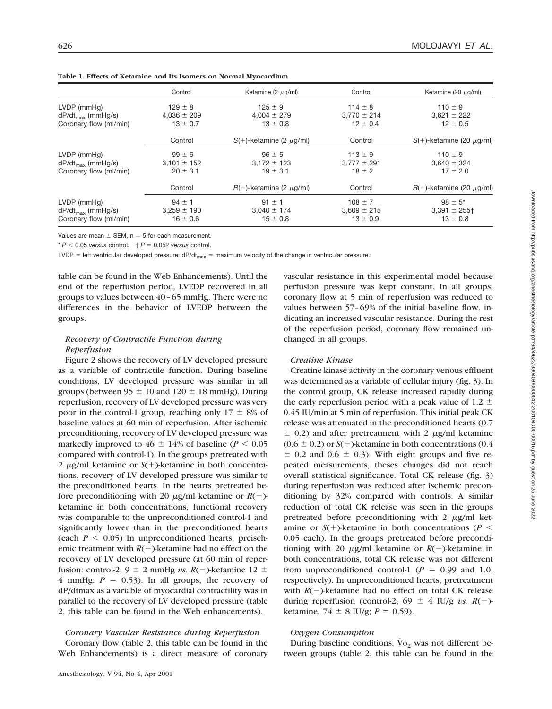|                        | Control         | Ketamine (2 $\mu$ g/ml)         | Control         | Ketamine (20 $\mu$ g/ml)         |
|------------------------|-----------------|---------------------------------|-----------------|----------------------------------|
| $LVDP$ (mm $Hg$ )      | $129 \pm 8$     | $125 \pm 9$                     | $114 \pm 8$     | $110 \pm 9$                      |
| $dP/dt_{max}$ (mmHg/s) | $4,036 \pm 209$ | $4,004 \pm 279$                 | $3,770 \pm 214$ | $3,621 \pm 222$                  |
| Coronary flow (ml/min) | $13 \pm 0.7$    | $13 \pm 0.8$                    | $12 \pm 0.4$    | $12 \pm 0.5$                     |
|                        | Control         | $S(+)$ -ketamine (2 $\mu$ g/ml) | Control         | $S(+)$ -ketamine (20 $\mu$ g/ml) |
| $LVDP$ (mm $Hg$ )      | $99 \pm 6$      | $96 \pm 5$                      | $113 \pm 9$     | $110 \pm 9$                      |
| $dP/dt_{max}$ (mmHg/s) | $3.101 \pm 152$ | $3.172 \pm 123$                 | $3.777 \pm 291$ | $3,640 \pm 324$                  |
| Coronary flow (ml/min) | $20 \pm 3.1$    | $19 \pm 3.1$                    | $18 \pm 2$      | $17 \pm 2.0$                     |
|                        | Control         | $R(-)$ -ketamine (2 $\mu$ g/ml) | Control         | $R(-)$ -ketamine (20 $\mu$ g/ml) |
| $LVDP$ (mm $Hq$ )      | $94 \pm 1$      | $91 \pm 1$                      | $108 \pm 7$     | $98 \pm 5^*$                     |
| $dP/dt_{max}$ (mmHg/s) | $3.259 \pm 190$ | $3,040 \pm 174$                 | $3.609 \pm 215$ | $3,391 \pm 255$                  |
| Coronary flow (ml/min) | $16 \pm 0.6$    | $15 \pm 0.8$                    | $13 \pm 0.9$    | $13 \pm 0.8$                     |

**Table 1. Effects of Ketamine and Its Isomers on Normal Myocardium**

Values are mean  $\pm$  SEM, n = 5 for each measurement.

 $* P < 0.05$  *versus* control.  $\uparrow P = 0.052$  *versus* control.

LVDP = left ventricular developed pressure;  $dP/dt_{max}$  = maximum velocity of the change in ventricular pressure.

table can be found in the Web Enhancements). Until the end of the reperfusion period, LVEDP recovered in all groups to values between 40–65 mmHg. There were no differences in the behavior of LVEDP between the groups.

# *Recovery of Contractile Function during Reperfusion*

Figure 2 shows the recovery of LV developed pressure as a variable of contractile function. During baseline conditions, LV developed pressure was similar in all groups (between  $95 \pm 10$  and  $120 \pm 18$  mmHg). During reperfusion, recovery of LV developed pressure was very poor in the control-1 group, reaching only  $17 \pm 8\%$  of baseline values at 60 min of reperfusion. After ischemic preconditioning, recovery of LV developed pressure was markedly improved to  $46 \pm 14\%$  of baseline ( $P < 0.05$ ) compared with control-1). In the groups pretreated with 2  $\mu$ g/ml ketamine or *S*(+)-ketamine in both concentrations, recovery of LV developed pressure was similar to the preconditioned hearts. In the hearts pretreated before preconditioning with 20  $\mu$ g/ml ketamine or  $R(-)$ ketamine in both concentrations, functional recovery was comparable to the unpreconditioned control-1 and significantly lower than in the preconditioned hearts (each  $P < 0.05$ ) In unpreconditioned hearts, preischemic treatment with  $R(-)$ -ketamine had no effect on the recovery of LV developed pressure (at 60 min of reperfusion: control-2,  $9 \pm 2$  mmHg *vs. R*(-)-ketamine 12  $\pm$ 4 mmHg;  $P = 0.53$ ). In all groups, the recovery of dP/dtmax as a variable of myocardial contractility was in parallel to the recovery of LV developed pressure (table 2, this table can be found in the Web enhancements).

## *Coronary Vascular Resistance during Reperfusion*

Coronary flow (table 2, this table can be found in the Web Enhancements) is a direct measure of coronary vascular resistance in this experimental model because perfusion pressure was kept constant. In all groups, coronary flow at 5 min of reperfusion was reduced to values between 57–69% of the initial baseline flow, indicating an increased vascular resistance. During the rest of the reperfusion period, coronary flow remained unchanged in all groups.

## *Creatine Kinase*

Creatine kinase activity in the coronary venous effluent was determined as a variable of cellular injury (fig. 3). In the control group, CK release increased rapidly during the early reperfusion period with a peak value of 1.2  $\pm$ 0.45 IU/min at 5 min of reperfusion. This initial peak CK release was attenuated in the preconditioned hearts (0.7  $\pm$  0.2) and after pretreatment with 2  $\mu$ g/ml ketamine  $(0.6 \pm 0.2)$  or  $S(+)$ -ketamine in both concentrations  $(0.4)$  $\pm$  0.2 and 0.6  $\pm$  0.3). With eight groups and five repeated measurements, theses changes did not reach overall statistical significance. Total CK release (fig. 3) during reperfusion was reduced after ischemic preconditioning by 32% compared with controls. A similar reduction of total CK release was seen in the groups pretreated before preconditioning with  $2 \mu g/ml$  ketamine or  $S(+)$ -ketamine in both concentrations ( $P <$ 0.05 each). In the groups pretreated before preconditioning with 20  $\mu$ g/ml ketamine or  $R(-)$ -ketamine in both concentrations, total CK release was not different from unpreconditioned control-1 ( $P = 0.99$  and 1.0, respectively). In unpreconditioned hearts, pretreatment with  $R(-)$ -ketamine had no effect on total CK release during reperfusion (control-2, 69  $\pm$  4 IU/g *vs. R*(-)ketamine,  $74 \pm 8$  IU/g;  $P = 0.59$ ).

#### *Oxygen Consumption*

During baseline conditions,  $\dot{V}o_2$  was not different between groups (table 2, this table can be found in the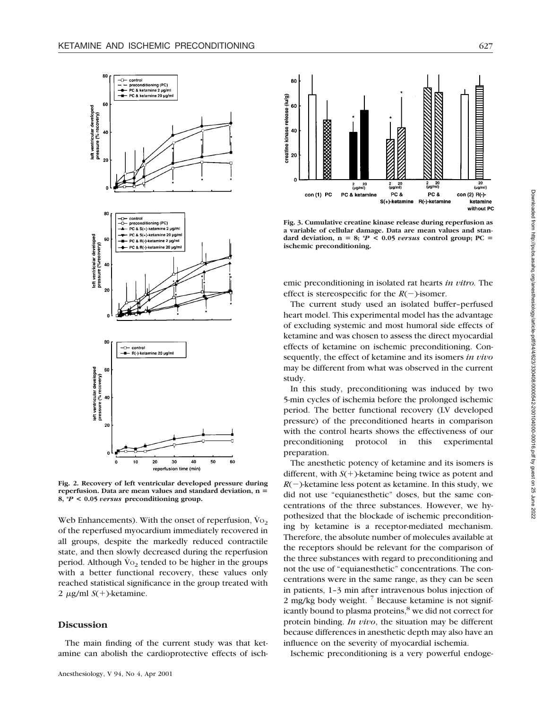

**Fig. 2. Recovery of left ventricular developed pressure during** reperfusion. Data are mean values and standard deviation, n = **8, \****P* **< 0.05** *versus* **preconditioning group.**

Web Enhancements). With the onset of reperfusion,  $\dot{V}$ <sub>O<sub>2</sub></sub> of the reperfused myocardium immediately recovered in all groups, despite the markedly reduced contractile state, and then slowly decreased during the reperfusion period. Although  $\dot{V}$ <sub>2</sub> tended to be higher in the groups with a better functional recovery, these values only reached statistical significance in the group treated with 2  $\mu$ g/ml *S*(+)-ketamine.

## **Discussion**

The main finding of the current study was that ketamine can abolish the cardioprotective effects of isch-



**Fig. 3. Cumulative creatine kinase release during reperfusion as a variable of cellular damage. Data are mean values and stan**dard deviation,  $n = 8$ ;  $^*P < 0.05$  *versus* control group; PC = **ischemic preconditioning.**

emic preconditioning in isolated rat hearts *in vitro.* The effect is stereospecific for the  $R(-)$ -isomer.

The current study used an isolated buffer–perfused heart model. This experimental model has the advantage of excluding systemic and most humoral side effects of ketamine and was chosen to assess the direct myocardial effects of ketamine on ischemic preconditioning. Consequently, the effect of ketamine and its isomers *in vivo* may be different from what was observed in the current study.

In this study, preconditioning was induced by two 5-min cycles of ischemia before the prolonged ischemic period. The better functional recovery (LV developed pressure) of the preconditioned hearts in comparison with the control hearts shows the effectiveness of our preconditioning protocol in this experimental preparation.

The anesthetic potency of ketamine and its isomers is different, with  $S(+)$ -ketamine being twice as potent and  $R(-)$ -ketamine less potent as ketamine. In this study, we did not use "equianesthetic" doses, but the same concentrations of the three substances. However, we hypothesized that the blockade of ischemic preconditioning by ketamine is a receptor-mediated mechanism. Therefore, the absolute number of molecules available at the receptors should be relevant for the comparison of the three substances with regard to preconditioning and not the use of "equianesthetic" concentrations. The concentrations were in the same range, as they can be seen in patients, 1–3 min after intravenous bolus injection of 2 mg/kg body weight.  $\frac{7}{1}$  Because ketamine is not significantly bound to plasma proteins,<sup>8</sup> we did not correct for protein binding. *In vivo*, the situation may be different because differences in anesthetic depth may also have an influence on the severity of myocardial ischemia.

Ischemic preconditioning is a very powerful endoge-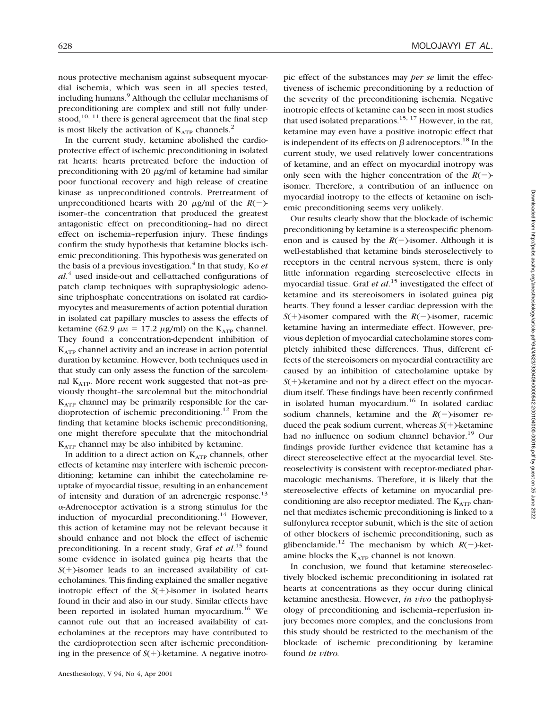nous protective mechanism against subsequent myocardial ischemia, which was seen in all species tested, including humans.<sup>9</sup> Although the cellular mechanisms of preconditioning are complex and still not fully understood,  $10$ ,  $11$  there is general agreement that the final step is most likely the activation of  $K_{ATP}$  channels.<sup>2</sup>

In the current study, ketamine abolished the cardioprotective effect of ischemic preconditioning in isolated rat hearts: hearts pretreated before the induction of preconditioning with 20  $\mu$ g/ml of ketamine had similar poor functional recovery and high release of creatine kinase as unpreconditioned controls. Pretreatment of unpreconditioned hearts with 20  $\mu$ g/ml of the *R*(-)isomer–the concentration that produced the greatest antagonistic effect on preconditioning–had no direct effect on ischemia–reperfusion injury. These findings confirm the study hypothesis that ketamine blocks ischemic preconditioning. This hypothesis was generated on the basis of a previous investigation.<sup>4</sup> In that study, Ko *et al*. <sup>4</sup> used inside-out and cell-attached configurations of patch clamp techniques with supraphysiologic adenosine triphosphate concentrations on isolated rat cardiomyocytes and measurements of action potential duration in isolated cat papillary muscles to assess the effects of ketamine (62.9  $\mu$ M = 17.2  $\mu$ g/ml) on the K<sub>ATP</sub> channel. They found a concentration-dependent inhibition of  $K<sub>ATP</sub>$  channel activity and an increase in action potential duration by ketamine. However, both techniques used in that study can only assess the function of the sarcolemnal  $K_{ATP}$ . More recent work suggested that not-as previously thought–the sarcolemnal but the mitochondrial  $K_{ATP}$  channel may be primarily responsible for the cardioprotection of ischemic preconditioning.12 From the finding that ketamine blocks ischemic preconditioning, one might therefore speculate that the mitochondrial  $K_{ATP}$  channel may be also inhibited by ketamine.

In addition to a direct action on  $K_{ATP}$  channels, other effects of ketamine may interfere with ischemic preconditioning; ketamine can inhibit the catecholamine reuptake of myocardial tissue, resulting in an enhancement of intensity and duration of an adrenergic response.<sup>13</sup>  $\alpha$ -Adrenoceptor activation is a strong stimulus for the induction of myocardial preconditioning.<sup>14</sup> However, this action of ketamine may not be relevant because it should enhance and not block the effect of ischemic preconditioning. In a recent study, Graf *et al*. <sup>15</sup> found some evidence in isolated guinea pig hearts that the  $S(+)$ -isomer leads to an increased availability of catecholamines. This finding explained the smaller negative inotropic effect of the  $S(+)$ -isomer in isolated hearts found in their and also in our study. Similar effects have been reported in isolated human myocardium.16 We cannot rule out that an increased availability of catecholamines at the receptors may have contributed to the cardioprotection seen after ischemic preconditioning in the presence of  $S(+)$ -ketamine. A negative inotropic effect of the substances may *per se* limit the effectiveness of ischemic preconditioning by a reduction of the severity of the preconditioning ischemia. Negative inotropic effects of ketamine can be seen in most studies that used isolated preparations.<sup>15, 17</sup> However, in the rat, ketamine may even have a positive inotropic effect that is independent of its effects on  $\beta$  adrenoceptors.<sup>18</sup> In the current study, we used relatively lower concentrations of ketamine, and an effect on myocardial inotropy was only seen with the higher concentration of the  $R(-)$ isomer. Therefore, a contribution of an influence on myocardial inotropy to the effects of ketamine on ischemic preconditioning seems very unlikely.

Our results clearly show that the blockade of ischemic preconditioning by ketamine is a stereospecific phenomenon and is caused by the  $R(-)$ -isomer. Although it is well-established that ketamine binds steroselectively to receptors in the central nervous system, there is only little information regarding stereoselective effects in myocardial tissue. Graf *et al*. <sup>15</sup> investigated the effect of ketamine and its stereoisomers in isolated guinea pig hearts. They found a lesser cardiac depression with the  $S(+)$ -isomer compared with the  $R(-)$ -isomer, racemic ketamine having an intermediate effect. However, previous depletion of myocardial catecholamine stores completely inhibited these differences. Thus, different effects of the stereoisomers on myocardial contractility are caused by an inhibition of catecholamine uptake by  $S(+)$ -ketamine and not by a direct effect on the myocardium itself. These findings have been recently confirmed in isolated human myocardium.<sup>16</sup> In isolated cardiac sodium channels, ketamine and the  $R(-)$ -isomer reduced the peak sodium current, whereas  $S(+)$ -ketamine had no influence on sodium channel behavior.<sup>19</sup> Our findings provide further evidence that ketamine has a direct stereoselective effect at the myocardial level. Stereoselectivity is consistent with receptor-mediated pharmacologic mechanisms. Therefore, it is likely that the stereoselective effects of ketamine on myocardial preconditioning are also receptor mediated. The  $K_{ATP}$  channel that mediates ischemic preconditioning is linked to a sulfonylurea receptor subunit, which is the site of action of other blockers of ischemic preconditioning, such as glibenclamide.<sup>12</sup> The mechanism by which  $R(-)$ -ketamine blocks the  $K_{ATP}$  channel is not known.

In conclusion, we found that ketamine stereoselectively blocked ischemic preconditioning in isolated rat hearts at concentrations as they occur during clinical ketamine anesthesia. However, *in vivo* the pathophysiology of preconditioning and ischemia–reperfusion injury becomes more complex, and the conclusions from this study should be restricted to the mechanism of the blockade of ischemic preconditioning by ketamine found *in vitro.*